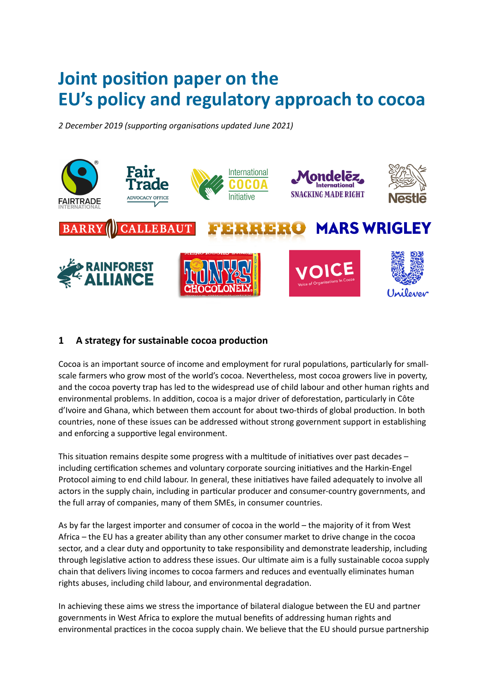# **Joint position paper on the EU's policy and regulatory approach to cocoa**

*2 December 2019 (supporting organisations updated June 2021)*



# **1 A strategy for sustainable cocoa production**

Cocoa is an important source of income and employment for rural populations, particularly for smallscale farmers who grow most of the world's cocoa. Nevertheless, most cocoa growers live in poverty, and the cocoa poverty trap has led to the widespread use of child labour and other human rights and environmental problems. In addition, cocoa is a major driver of deforestation, particularly in Côte d'Ivoire and Ghana, which between them account for about two-thirds of global production. In both countries, none of these issues can be addressed without strong government support in establishing and enforcing a supportive legal environment.

This situation remains despite some progress with a multitude of initiatives over past decades – including certification schemes and voluntary corporate sourcing initiatives and the Harkin-Engel Protocol aiming to end child labour. In general, these initiatives have failed adequately to involve all actors in the supply chain, including in particular producer and consumer-country governments, and the full array of companies, many of them SMEs, in consumer countries.

As by far the largest importer and consumer of cocoa in the world – the majority of it from West Africa – the EU has a greater ability than any other consumer market to drive change in the cocoa sector, and a clear duty and opportunity to take responsibility and demonstrate leadership, including through legislative action to address these issues. Our ultimate aim is a fully sustainable cocoa supply chain that delivers living incomes to cocoa farmers and reduces and eventually eliminates human rights abuses, including child labour, and environmental degradation.

In achieving these aims we stress the importance of bilateral dialogue between the EU and partner governments in West Africa to explore the mutual benefits of addressing human rights and environmental practices in the cocoa supply chain. We believe that the EU should pursue partnership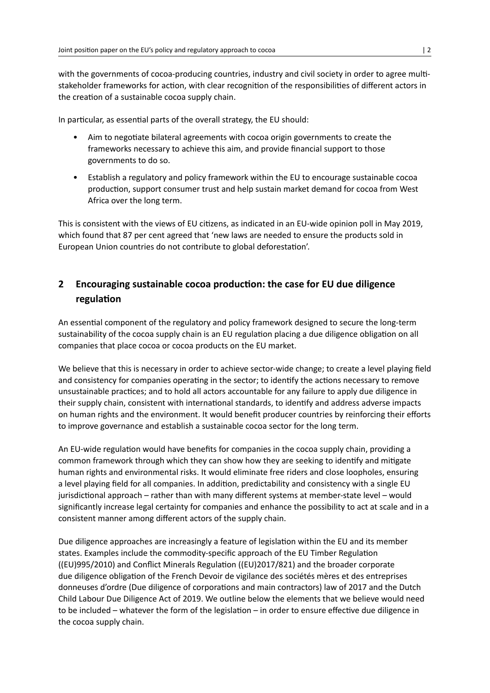with the governments of cocoa-producing countries, industry and civil society in order to agree multistakeholder frameworks for action, with clear recognition of the responsibilities of different actors in the creation of a sustainable cocoa supply chain.

In particular, as essential parts of the overall strategy, the EU should:

- Aim to negotiate bilateral agreements with cocoa origin governments to create the frameworks necessary to achieve this aim, and provide financial support to those governments to do so.
- Establish a regulatory and policy framework within the EU to encourage sustainable cocoa production, support consumer trust and help sustain market demand for cocoa from West Africa over the long term.

This is consistent with the views of EU citizens, as indicated in an EU-wide opinion poll in May 2019, which found that 87 per cent agreed that 'new laws are needed to ensure the products sold in European Union countries do not contribute to global deforestation'.

# **2 Encouraging sustainable cocoa production: the case for EU due diligence regulation**

An essential component of the regulatory and policy framework designed to secure the long-term sustainability of the cocoa supply chain is an EU regulation placing a due diligence obligation on all companies that place cocoa or cocoa products on the EU market.

We believe that this is necessary in order to achieve sector-wide change; to create a level playing field and consistency for companies operating in the sector; to identify the actions necessary to remove unsustainable practices; and to hold all actors accountable for any failure to apply due diligence in their supply chain, consistent with international standards, to identify and address adverse impacts on human rights and the environment. It would benefit producer countries by reinforcing their efforts to improve governance and establish a sustainable cocoa sector for the long term.

An EU-wide regulation would have benefits for companies in the cocoa supply chain, providing a common framework through which they can show how they are seeking to identify and mitigate human rights and environmental risks. It would eliminate free riders and close loopholes, ensuring a level playing field for all companies. In addition, predictability and consistency with a single EU jurisdictional approach – rather than with many different systems at member-state level – would significantly increase legal certainty for companies and enhance the possibility to act at scale and in a consistent manner among different actors of the supply chain.

Due diligence approaches are increasingly a feature of legislation within the EU and its member states. Examples include the commodity-specific approach of the EU Timber Regulation ((EU)995/2010) and Conflict Minerals Regulation ((EU)2017/821) and the broader corporate due diligence obligation of the French Devoir de vigilance des sociétés mères et des entreprises donneuses d'ordre (Due diligence of corporations and main contractors) law of 2017 and the Dutch Child Labour Due Diligence Act of 2019. We outline below the elements that we believe would need to be included – whatever the form of the legislation – in order to ensure effective due diligence in the cocoa supply chain.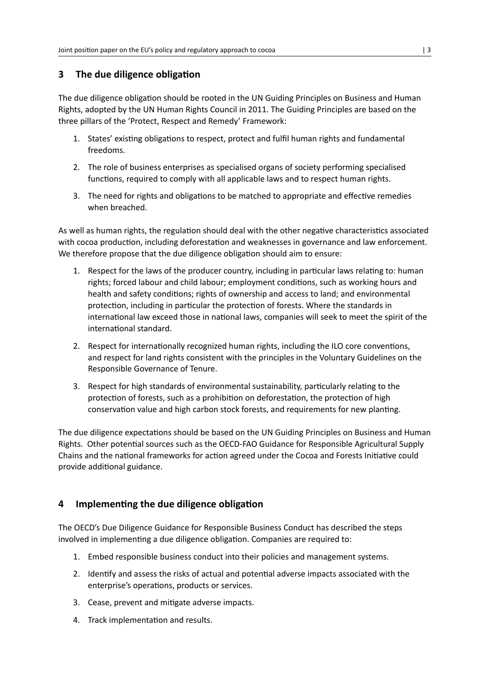# **3 The due diligence obligation**

The due diligence obligation should be rooted in the UN Guiding Principles on Business and Human Rights, adopted by the UN Human Rights Council in 2011. The Guiding Principles are based on the three pillars of the 'Protect, Respect and Remedy' Framework:

- 1. States' existing obligations to respect, protect and fulfil human rights and fundamental freedoms.
- 2. The role of business enterprises as specialised organs of society performing specialised functions, required to comply with all applicable laws and to respect human rights.
- 3. The need for rights and obligations to be matched to appropriate and effective remedies when breached.

As well as human rights, the regulation should deal with the other negative characteristics associated with cocoa production, including deforestation and weaknesses in governance and law enforcement. We therefore propose that the due diligence obligation should aim to ensure:

- 1. Respect for the laws of the producer country, including in particular laws relating to: human rights; forced labour and child labour; employment conditions, such as working hours and health and safety conditions; rights of ownership and access to land; and environmental protection, including in particular the protection of forests. Where the standards in international law exceed those in national laws, companies will seek to meet the spirit of the international standard.
- 2. Respect for internationally recognized human rights, including the ILO core conventions, and respect for land rights consistent with the principles in the Voluntary Guidelines on the Responsible Governance of Tenure.
- 3. Respect for high standards of environmental sustainability, particularly relating to the protection of forests, such as a prohibition on deforestation, the protection of high conservation value and high carbon stock forests, and requirements for new planting.

The due diligence expectations should be based on the UN Guiding Principles on Business and Human Rights. Other potential sources such as the OECD‐FAO Guidance for Responsible Agricultural Supply Chains and the national frameworks for action agreed under the Cocoa and Forests Initiative could provide additional guidance.

# **4 Implementing the due diligence obligation**

The OECD's Due Diligence Guidance for Responsible Business Conduct has described the steps involved in implementing a due diligence obligation. Companies are required to:

- 1. Embed responsible business conduct into their policies and management systems.
- 2. Identify and assess the risks of actual and potential adverse impacts associated with the enterprise's operations, products or services.
- 3. Cease, prevent and mitigate adverse impacts.
- 4. Track implementation and results.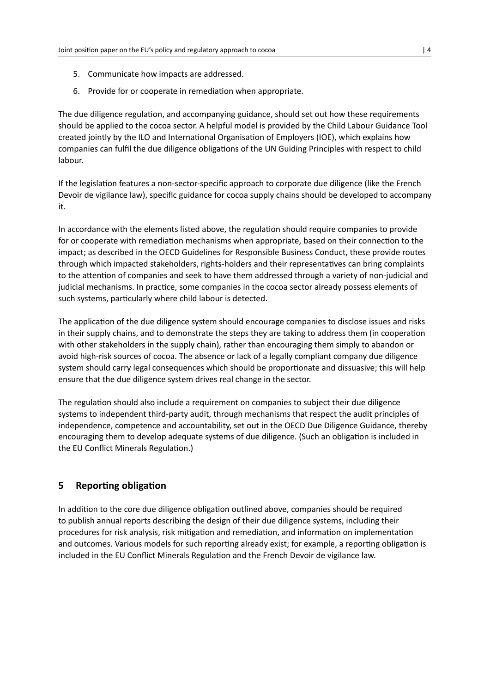- 5. Communicate how impacts are addressed.
- 6. Provide for or cooperate in remediation when appropriate.

The due diligence regulation, and accompanying guidance, should set out how these requirements should be applied to the cocoa sector. A helpful model is provided by the Child Labour Guidance Tool created jointly by the ILO and International Organisation of Employers (IOE), which explains how companies can fulfil the due diligence obligations of the UN Guiding Principles with respect to child labour.

If the legislation features a non-sector-specific approach to corporate due diligence (like the French Devoir de vigilance law), specific guidance for cocoa supply chains should be developed to accompany it.

In accordance with the elements listed above, the regulation should require companies to provide for or cooperate with remediation mechanisms when appropriate, based on their connection to the impact; as described in the OECD Guidelines for Responsible Business Conduct, these provide routes through which impacted stakeholders, rights-holders and their representatives can bring complaints to the attention of companies and seek to have them addressed through a variety of non-judicial and judicial mechanisms. In practice, some companies in the cocoa sector already possess elements of such systems, particularly where child labour is detected.

The application of the due diligence system should encourage companies to disclose issues and risks in their supply chains, and to demonstrate the steps they are taking to address them (in cooperation with other stakeholders in the supply chain), rather than encouraging them simply to abandon or avoid high-risk sources of cocoa. The absence or lack of a legally compliant company due diligence system should carry legal consequences which should be proportionate and dissuasive; this will help ensure that the due diligence system drives real change in the sector.

The regulation should also include a requirement on companies to subject their due diligence systems to independent third-party audit, through mechanisms that respect the audit principles of independence, competence and accountability, set out in the OECD Due Diligence Guidance, thereby encouraging them to develop adequate systems of due diligence. (Such an obligation is included in the EU Conflict Minerals Regulation.)

## **5 Reporting obligation**

In addition to the core due diligence obligation outlined above, companies should be required to publish annual reports describing the design of their due diligence systems, including their procedures for risk analysis, risk mitigation and remediation, and information on implementation and outcomes. Various models for such reporting already exist; for example, a reporting obligation is included in the EU Conflict Minerals Regulation and the French Devoir de vigilance law.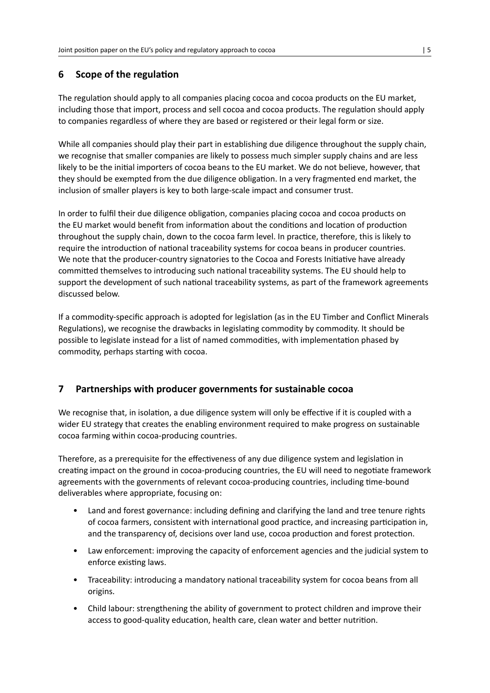# **6 Scope of the regulation**

The regulation should apply to all companies placing cocoa and cocoa products on the EU market, including those that import, process and sell cocoa and cocoa products. The regulation should apply to companies regardless of where they are based or registered or their legal form or size.

While all companies should play their part in establishing due diligence throughout the supply chain, we recognise that smaller companies are likely to possess much simpler supply chains and are less likely to be the initial importers of cocoa beans to the EU market. We do not believe, however, that they should be exempted from the due diligence obligation. In a very fragmented end market, the inclusion of smaller players is key to both large-scale impact and consumer trust.

In order to fulfil their due diligence obligation, companies placing cocoa and cocoa products on the EU market would benefit from information about the conditions and location of production throughout the supply chain, down to the cocoa farm level. In practice, therefore, this is likely to require the introduction of national traceability systems for cocoa beans in producer countries. We note that the producer-country signatories to the Cocoa and Forests Initiative have already committed themselves to introducing such national traceability systems. The EU should help to support the development of such national traceability systems, as part of the framework agreements discussed below.

If a commodity-specific approach is adopted for legislation (as in the EU Timber and Conflict Minerals Regulations), we recognise the drawbacks in legislating commodity by commodity. It should be possible to legislate instead for a list of named commodities, with implementation phased by commodity, perhaps starting with cocoa.

# **7 Partnerships with producer governments for sustainable cocoa**

We recognise that, in isolation, a due diligence system will only be effective if it is coupled with a wider EU strategy that creates the enabling environment required to make progress on sustainable cocoa farming within cocoa-producing countries.

Therefore, as a prerequisite for the effectiveness of any due diligence system and legislation in creating impact on the ground in cocoa-producing countries, the EU will need to negotiate framework agreements with the governments of relevant cocoa-producing countries, including time-bound deliverables where appropriate, focusing on:

- Land and forest governance: including defining and clarifying the land and tree tenure rights of cocoa farmers, consistent with international good practice, and increasing participation in, and the transparency of, decisions over land use, cocoa production and forest protection.
- Law enforcement: improving the capacity of enforcement agencies and the judicial system to enforce existing laws.
- Traceability: introducing a mandatory national traceability system for cocoa beans from all origins.
- Child labour: strengthening the ability of government to protect children and improve their access to good-quality education, health care, clean water and better nutrition.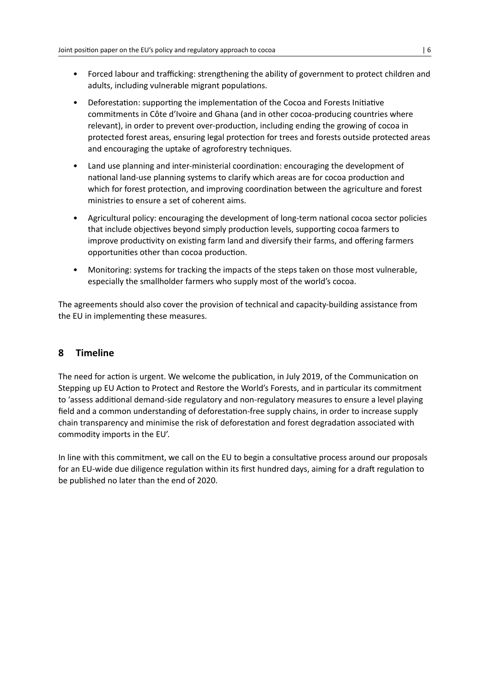- Forced labour and trafficking: strengthening the ability of government to protect children and adults, including vulnerable migrant populations.
- Deforestation: supporting the implementation of the Cocoa and Forests Initiative commitments in Côte d'Ivoire and Ghana (and in other cocoa-producing countries where relevant), in order to prevent over-production, including ending the growing of cocoa in protected forest areas, ensuring legal protection for trees and forests outside protected areas and encouraging the uptake of agroforestry techniques.
- Land use planning and inter-ministerial coordination: encouraging the development of national land-use planning systems to clarify which areas are for cocoa production and which for forest protection, and improving coordination between the agriculture and forest ministries to ensure a set of coherent aims.
- Agricultural policy: encouraging the development of long-term national cocoa sector policies that include objectives beyond simply production levels, supporting cocoa farmers to improve productivity on existing farm land and diversify their farms, and offering farmers opportunities other than cocoa production.
- Monitoring: systems for tracking the impacts of the steps taken on those most vulnerable, especially the smallholder farmers who supply most of the world's cocoa.

The agreements should also cover the provision of technical and capacity-building assistance from the EU in implementing these measures.

# **8 Timeline**

The need for action is urgent. We welcome the publication, in July 2019, of the Communication on Stepping up EU Action to Protect and Restore the World's Forests, and in particular its commitment to 'assess additional demand-side regulatory and non-regulatory measures to ensure a level playing field and a common understanding of deforestation-free supply chains, in order to increase supply chain transparency and minimise the risk of deforestation and forest degradation associated with commodity imports in the EU'.

In line with this commitment, we call on the EU to begin a consultative process around our proposals for an EU-wide due diligence regulation within its first hundred days, aiming for a draft regulation to be published no later than the end of 2020.